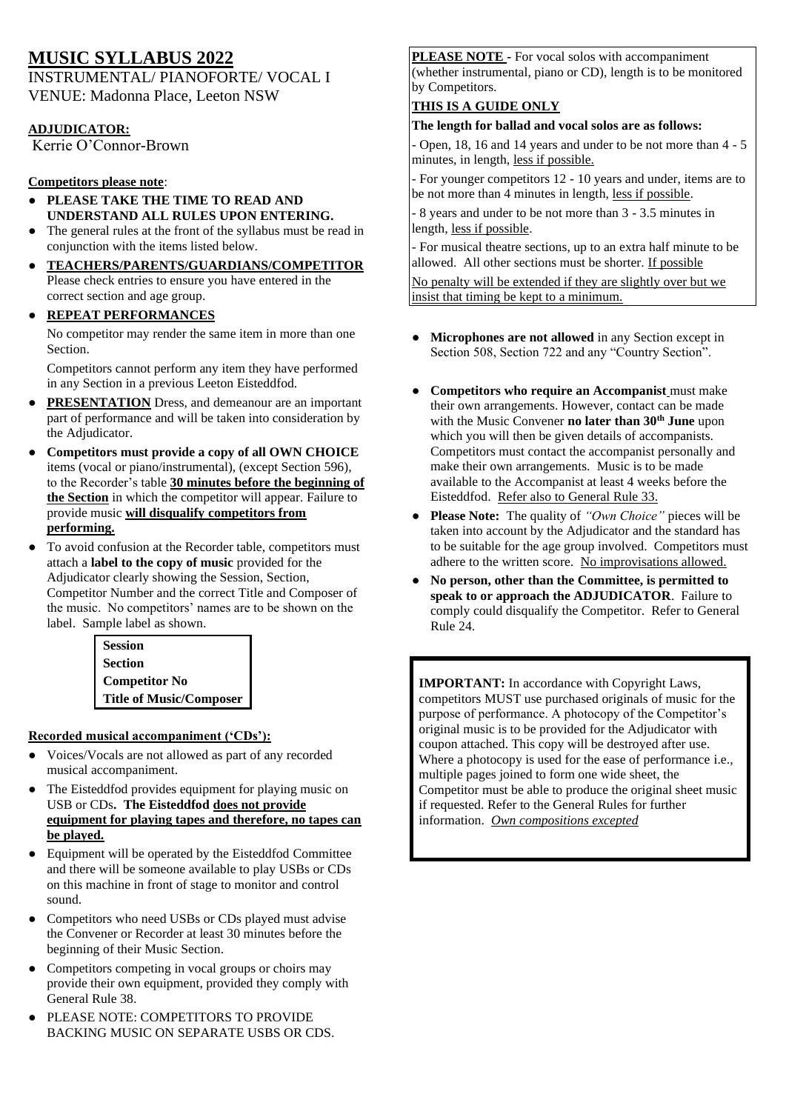# **MUSIC SYLLABUS 2022**

INSTRUMENTAL/ PIANOFORTE/ VOCAL I VENUE: Madonna Place, Leeton NSW

### **ADJUDICATOR:**

Kerrie O'Connor-Brown

### **Competitors please note**:

- **PLEASE TAKE THE TIME TO READ AND UNDERSTAND ALL RULES UPON ENTERING.**
- The general rules at the front of the syllabus must be read in conjunction with the items listed below.
- **TEACHERS/PARENTS/GUARDIANS/COMPETITOR** Please check entries to ensure you have entered in the correct section and age group.
- **REPEAT PERFORMANCES**

No competitor may render the same item in more than one Section.

Competitors cannot perform any item they have performed in any Section in a previous Leeton Eisteddfod.

- **PRESENTATION** Dress, and demeanour are an important part of performance and will be taken into consideration by the Adjudicator.
- **Competitors must provide a copy of all OWN CHOICE**  items (vocal or piano/instrumental), (except Section 596), to the Recorder's table **30 minutes before the beginning of the Section** in which the competitor will appear. Failure to provide music **will disqualify competitors from performing.**
- To avoid confusion at the Recorder table, competitors must attach a **label to the copy of music** provided for the Adjudicator clearly showing the Session, Section, Competitor Number and the correct Title and Composer of the music. No competitors' names are to be shown on the label. Sample label as shown.

**Session Section Competitor No Title of Music/Composer**

#### **Recorded musical accompaniment ('CDs'):**

- Voices/Vocals are not allowed as part of any recorded musical accompaniment.
- The Eisteddfod provides equipment for playing music on USB or CDs**. The Eisteddfod does not provide equipment for playing tapes and therefore, no tapes can be played.**
- Equipment will be operated by the Eisteddfod Committee and there will be someone available to play USBs or CDs on this machine in front of stage to monitor and control sound.
- Competitors who need USBs or CDs played must advise the Convener or Recorder at least 30 minutes before the beginning of their Music Section.
- Competitors competing in vocal groups or choirs may provide their own equipment, provided they comply with General Rule 38.
- PLEASE NOTE: COMPETITORS TO PROVIDE BACKING MUSIC ON SEPARATE USBS OR CDS.

**PLEASE NOTE -** For vocal solos with accompaniment (whether instrumental, piano or CD), length is to be monitored by Competitors.

## **THIS IS A GUIDE ONLY**

### **The length for ballad and vocal solos are as follows:**

- Open, 18, 16 and 14 years and under to be not more than 4 - 5 minutes, in length, less if possible.

- For younger competitors 12 - 10 years and under, items are to be not more than 4 minutes in length, less if possible.

- 8 years and under to be not more than 3 - 3.5 minutes in length, less if possible.

- For musical theatre sections, up to an extra half minute to be allowed. All other sections must be shorter. If possible No penalty will be extended if they are slightly over but we insist that timing be kept to a minimum.

- **Microphones are not allowed** in any Section except in Section 508, Section 722 and any "Country Section".
- **Competitors who require an Accompanist** must make their own arrangements. However, contact can be made with the Music Convener **no later than 30th June** upon which you will then be given details of accompanists. Competitors must contact the accompanist personally and make their own arrangements. Music is to be made available to the Accompanist at least 4 weeks before the Eisteddfod. Refer also to General Rule 33.
- **Please Note:** The quality of *"Own Choice"* pieces will be taken into account by the Adjudicator and the standard has to be suitable for the age group involved. Competitors must adhere to the written score. No improvisations allowed.
- **No person, other than the Committee, is permitted to speak to or approach the ADJUDICATOR**. Failure to comply could disqualify the Competitor. Refer to General Rule 24.

**IMPORTANT:** In accordance with Copyright Laws, competitors MUST use purchased originals of music for the purpose of performance. A photocopy of the Competitor's original music is to be provided for the Adjudicator with coupon attached. This copy will be destroyed after use. Where a photocopy is used for the ease of performance i.e., multiple pages joined to form one wide sheet, the Competitor must be able to produce the original sheet music if requested. Refer to the General Rules for further information. *Own compositions excepted*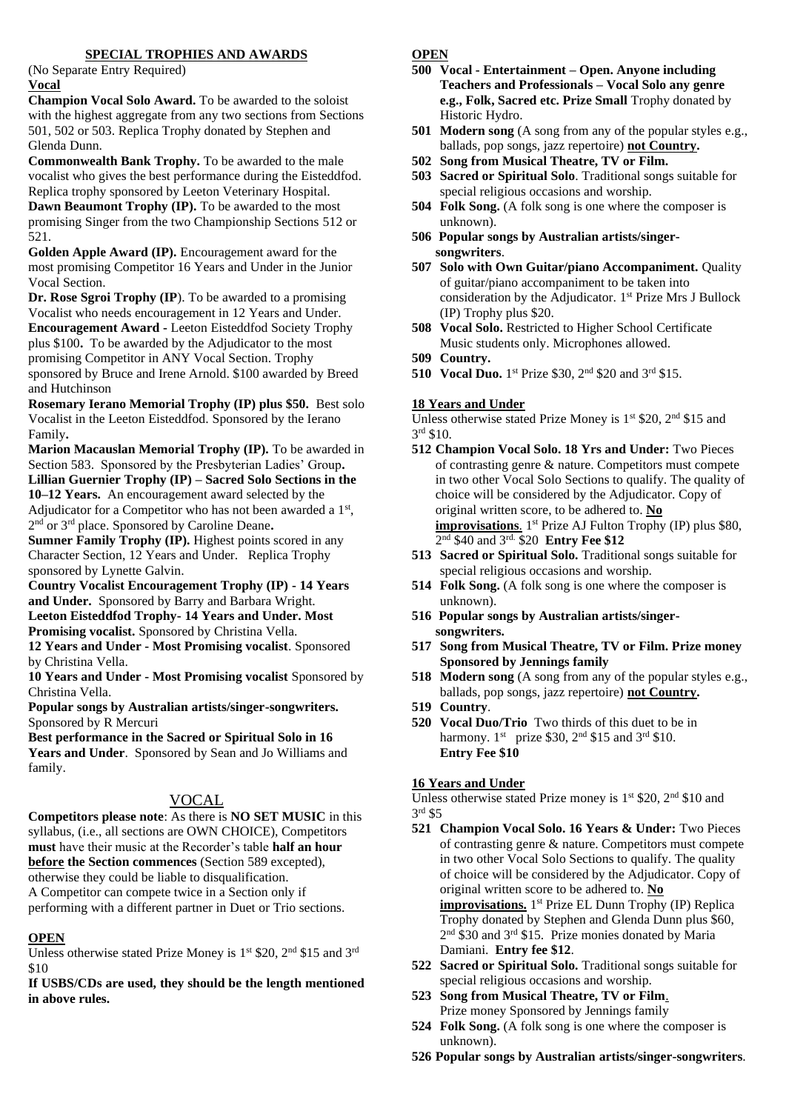#### **SPECIAL TROPHIES AND AWARDS**

(No Separate Entry Required) **Vocal**

**Champion Vocal Solo Award.** To be awarded to the soloist with the highest aggregate from any two sections from Sections 501, 502 or 503. Replica Trophy donated by Stephen and Glenda Dunn.

**Commonwealth Bank Trophy.** To be awarded to the male vocalist who gives the best performance during the Eisteddfod. Replica trophy sponsored by Leeton Veterinary Hospital. **Dawn Beaumont Trophy (IP).** To be awarded to the most promising Singer from the two Championship Sections 512 or 521.

**Golden Apple Award (IP).** Encouragement award for the most promising Competitor 16 Years and Under in the Junior Vocal Section.

**Dr. Rose Sgroi Trophy (IP**). To be awarded to a promising Vocalist who needs encouragement in 12 Years and Under. **Encouragement Award -** Leeton Eisteddfod Society Trophy plus \$100**.** To be awarded by the Adjudicator to the most promising Competitor in ANY Vocal Section. Trophy sponsored by Bruce and Irene Arnold. \$100 awarded by Breed and Hutchinson

**Rosemary Ierano Memorial Trophy (IP) plus \$50.** Best solo Vocalist in the Leeton Eisteddfod. Sponsored by the Ierano Family**.**

**Marion Macauslan Memorial Trophy (IP).** To be awarded in Section 583. Sponsored by the Presbyterian Ladies' Group**. Lillian Guernier Trophy (IP) – Sacred Solo Sections in the** 

**10–12 Years.** An encouragement award selected by the Adjudicator for a Competitor who has not been awarded a 1<sup>st</sup>, 2 nd or 3rd place. Sponsored by Caroline Deane**.**

**Sumner Family Trophy (IP).** Highest points scored in any Character Section, 12 Years and Under. Replica Trophy sponsored by Lynette Galvin.

**Country Vocalist Encouragement Trophy (IP) - 14 Years and Under.** Sponsored by Barry and Barbara Wright. **Leeton Eisteddfod Trophy- 14 Years and Under. Most**  Promising vocalist. Sponsored by Christina Vella.

**12 Years and Under - Most Promising vocalist**. Sponsored by Christina Vella.

**10 Years and Under - Most Promising vocalist** Sponsored by Christina Vella.

**Popular songs by Australian artists/singer-songwriters.** Sponsored by R Mercuri

**Best performance in the Sacred or Spiritual Solo in 16 Years and Under**. Sponsored by Sean and Jo Williams and family.

#### VOCAL

**Competitors please note**: As there is **NO SET MUSIC** in this syllabus, (i.e., all sections are OWN CHOICE), Competitors **must** have their music at the Recorder's table **half an hour before the Section commences** (Section 589 excepted), otherwise they could be liable to disqualification. A Competitor can compete twice in a Section only if performing with a different partner in Duet or Trio sections.

#### **OPEN**

Unless otherwise stated Prize Money is  $1<sup>st</sup>$  \$20,  $2<sup>nd</sup>$  \$15 and  $3<sup>rd</sup>$ \$10

**If USBS/CDs are used, they should be the length mentioned in above rules.**

#### **OPEN**

- **500 Vocal - Entertainment – Open. Anyone including Teachers and Professionals – Vocal Solo any genre e.g., Folk, Sacred etc. Prize Small** Trophy donated by Historic Hydro.
- **501 Modern song** (A song from any of the popular styles e.g., ballads, pop songs, jazz repertoire) **not Country.**
- **502 Song from Musical Theatre, TV or Film.**
- **503 Sacred or Spiritual Solo**. Traditional songs suitable for special religious occasions and worship.
- **504 Folk Song.** (A folk song is one where the composer is unknown).
- **506 Popular songs by Australian artists/singersongwriters**.
- **507 Solo with Own Guitar/piano Accompaniment.** Quality of guitar/piano accompaniment to be taken into consideration by the Adjudicator. 1 st Prize Mrs J Bullock (IP) Trophy plus \$20.
- **508 Vocal Solo.** Restricted to Higher School Certificate Music students only. Microphones allowed.
- **509 Country.**
- **510** Vocal Duo. 1<sup>st</sup> Prize \$30, 2<sup>nd</sup> \$20 and 3<sup>rd</sup> \$15.

#### **18 Years and Under**

Unless otherwise stated Prize Money is  $1<sup>st</sup>$  \$20,  $2<sup>nd</sup>$  \$15 and 3 rd \$10.

- **512 Champion Vocal Solo. 18 Yrs and Under:** Two Pieces of contrasting genre & nature. Competitors must compete in two other Vocal Solo Sections to qualify. The quality of choice will be considered by the Adjudicator. Copy of original written score, to be adhered to. **No**  improvisations. 1<sup>st</sup> Prize AJ Fulton Trophy (IP) plus \$80, 2 nd \$40 and 3rd. \$20 **Entry Fee \$12**
- **513 Sacred or Spiritual Solo.** Traditional songs suitable for special religious occasions and worship.
- **514 Folk Song.** (A folk song is one where the composer is unknown).
- **516 Popular songs by Australian artists/singersongwriters.**
- **517 Song from Musical Theatre, TV or Film. Prize money Sponsored by Jennings family**
- **518 Modern song** (A song from any of the popular styles e.g., ballads, pop songs, jazz repertoire) **not Country.**
- **519 Country**.
- **520 Vocal Duo/Trio** Two thirds of this duet to be in harmony.  $1^{st}$  prize \$30,  $2^{nd}$  \$15 and  $3^{rd}$  \$10. **Entry Fee \$10**

#### **16 Years and Under**

Unless otherwise stated Prize money is  $1<sup>st</sup>$  \$20,  $2<sup>nd</sup>$  \$10 and 3 rd \$5

- **521 Champion Vocal Solo. 16 Years & Under:** Two Pieces of contrasting genre & nature. Competitors must compete in two other Vocal Solo Sections to qualify. The quality of choice will be considered by the Adjudicator. Copy of original written score to be adhered to. **No**  improvisations. 1<sup>st</sup> Prize EL Dunn Trophy (IP) Replica Trophy donated by Stephen and Glenda Dunn plus \$60, 2<sup>nd</sup> \$30 and 3<sup>rd</sup> \$15. Prize monies donated by Maria Damiani. **Entry fee \$12**.
- **522 Sacred or Spiritual Solo.** Traditional songs suitable for special religious occasions and worship.
- **523 Song from Musical Theatre, TV or Film**. Prize money Sponsored by Jennings family
- **524 Folk Song.** (A folk song is one where the composer is unknown).
- **526 Popular songs by Australian artists/singer-songwriters**.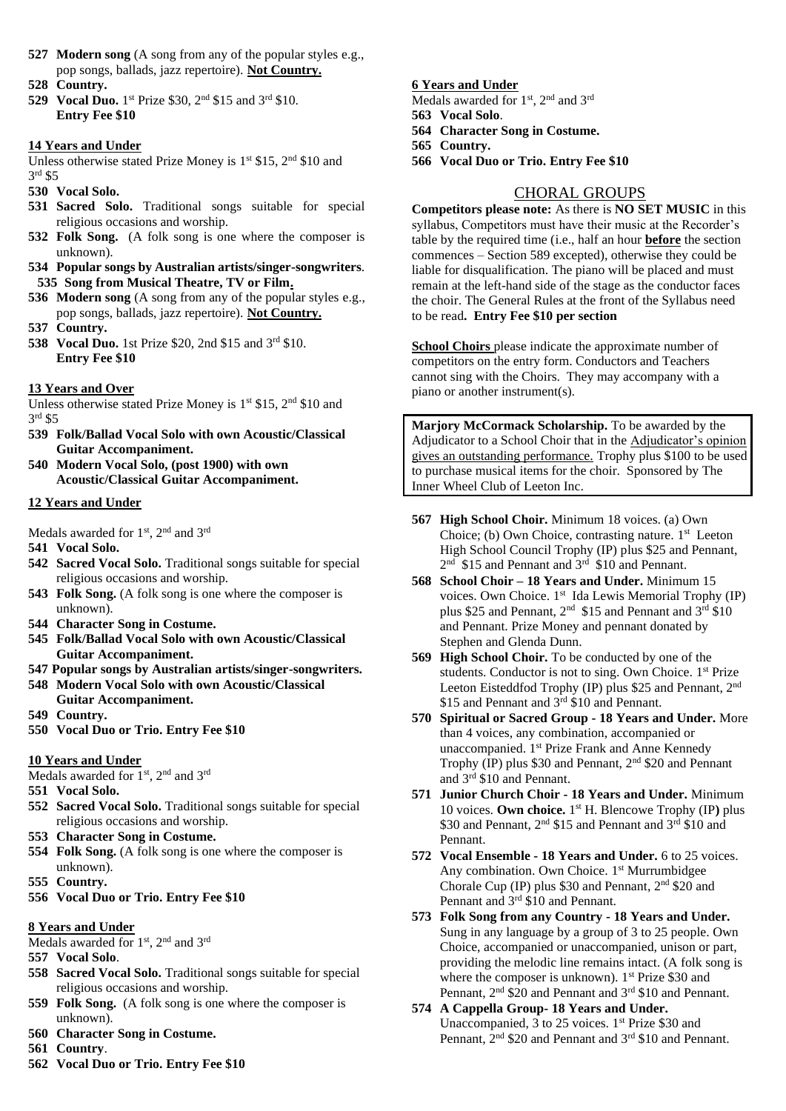- **527 Modern song** (A song from any of the popular styles e.g., pop songs, ballads, jazz repertoire). **Not Country.**
- **528 Country.**
- **529** Vocal Duo. 1<sup>st</sup> Prize \$30, 2<sup>nd</sup> \$15 and 3<sup>rd</sup> \$10. **Entry Fee \$10**

#### **14 Years and Under**

Unless otherwise stated Prize Money is  $1<sup>st</sup>$  \$15,  $2<sup>nd</sup>$  \$10 and 3 rd \$5

- **530 Vocal Solo.**
- **531 Sacred Solo.** Traditional songs suitable for special religious occasions and worship.
- **532 Folk Song.** (A folk song is one where the composer is unknown).
- **534 Popular songs by Australian artists/singer-songwriters**. **535 Song from Musical Theatre, TV or Film.**
- **536 Modern song** (A song from any of the popular styles e.g., pop songs, ballads, jazz repertoire). **Not Country.**
- **537 Country.**
- 538 Vocal Duo. 1st Prize \$20, 2nd \$15 and 3<sup>rd</sup> \$10. **Entry Fee \$10**

#### **13 Years and Over**

Unless otherwise stated Prize Money is  $1<sup>st</sup>$  \$15,  $2<sup>nd</sup>$  \$10 and 3 rd \$5

- **539 Folk/Ballad Vocal Solo with own Acoustic/Classical Guitar Accompaniment.**
- **540 Modern Vocal Solo, (post 1900) with own Acoustic/Classical Guitar Accompaniment.**

#### **12 Years and Under**

Medals awarded for 1<sup>st</sup>, 2<sup>nd</sup> and 3<sup>rd</sup>

- **541 Vocal Solo.**
- **542 Sacred Vocal Solo.** Traditional songs suitable for special religious occasions and worship.
- **543 Folk Song.** (A folk song is one where the composer is unknown).
- **544 Character Song in Costume.**
- **545 Folk/Ballad Vocal Solo with own Acoustic/Classical Guitar Accompaniment.**
- **547 Popular songs by Australian artists/singer-songwriters.**
- **548 Modern Vocal Solo with own Acoustic/Classical Guitar Accompaniment.**
- **549 Country.**
- **550 Vocal Duo or Trio. Entry Fee \$10**

#### **10 Years and Under**

Medals awarded for  $1^{st}$ ,  $2^{nd}$  and  $3^{rd}$ 

- **551 Vocal Solo.**
- **552 Sacred Vocal Solo.** Traditional songs suitable for special religious occasions and worship.
- **553 Character Song in Costume.**
- **554 Folk Song.** (A folk song is one where the composer is unknown).
- **555 Country.**
- **556 Vocal Duo or Trio. Entry Fee \$10**

### **8 Years and Under**

Medals awarded for 1<sup>st</sup>, 2<sup>nd</sup> and 3<sup>rd</sup>

- **557 Vocal Solo**.
- **558 Sacred Vocal Solo.** Traditional songs suitable for special religious occasions and worship.
- **559 Folk Song.** (A folk song is one where the composer is unknown).
- **560 Character Song in Costume.**
- **561 Country**.
- **562 Vocal Duo or Trio. Entry Fee \$10**

### **6 Years and Under**

- Medals awarded for 1<sup>st</sup>, 2<sup>nd</sup> and 3<sup>rd</sup>
- **563 Vocal Solo**.
- **564 Character Song in Costume.**
- **565 Country.**
- **566 Vocal Duo or Trio. Entry Fee \$10**

# CHORAL GROUPS

**Competitors please note:** As there is **NO SET MUSIC** in this syllabus, Competitors must have their music at the Recorder's table by the required time (i.e., half an hour **before** the section commences – Section 589 excepted), otherwise they could be liable for disqualification. The piano will be placed and must remain at the left-hand side of the stage as the conductor faces the choir. The General Rules at the front of the Syllabus need to be read**. Entry Fee \$10 per section**

**School Choirs** please indicate the approximate number of competitors on the entry form. Conductors and Teachers cannot sing with the Choirs. They may accompany with a piano or another instrument(s).

**Marjory McCormack Scholarship.** To be awarded by the Adjudicator to a School Choir that in the Adjudicator's opinion gives an outstanding performance. Trophy plus \$100 to be used to purchase musical items for the choir. Sponsored by The Inner Wheel Club of Leeton Inc.

- **567 High School Choir.** Minimum 18 voices. (a) Own Choice; (b) Own Choice, contrasting nature. 1 st Leeton High School Council Trophy (IP) plus \$25 and Pennant, 2<sup>nd</sup> \$15 and Pennant and 3<sup>rd</sup> \$10 and Pennant.
- **568 School Choir – 18 Years and Under.** Minimum 15 voices. Own Choice. 1<sup>st</sup> Ida Lewis Memorial Trophy (IP) plus \$25 and Pennant,  $2<sup>nd</sup>$  \$15 and Pennant and  $3<sup>rd</sup>$  \$10 and Pennant. Prize Money and pennant donated by Stephen and Glenda Dunn.
- **569 High School Choir.** To be conducted by one of the students. Conductor is not to sing. Own Choice. 1<sup>st</sup> Prize Leeton Eisteddfod Trophy (IP) plus \$25 and Pennant, 2nd \$15 and Pennant and  $3<sup>rd</sup>$  \$10 and Pennant.
- **570 Spiritual or Sacred Group - 18 Years and Under.** More than 4 voices, any combination, accompanied or unaccompanied. 1<sup>st</sup> Prize Frank and Anne Kennedy Trophy (IP) plus \$30 and Pennant, 2nd \$20 and Pennant and 3rd \$10 and Pennant.
- **571 Junior Church Choir - 18 Years and Under.** Minimum 10 voices. **Own choice.** 1 st H. Blencowe Trophy (IP**)** plus \$30 and Pennant, 2<sup>nd</sup> \$15 and Pennant and 3<sup>rd</sup> \$10 and Pennant.
- **572 Vocal Ensemble - 18 Years and Under.** 6 to 25 voices. Any combination. Own Choice. 1 st Murrumbidgee Chorale Cup (IP) plus \$30 and Pennant, 2nd \$20 and Pennant and 3rd \$10 and Pennant.
- **573 Folk Song from any Country - 18 Years and Under.**  Sung in any language by a group of 3 to 25 people. Own Choice, accompanied or unaccompanied, unison or part, providing the melodic line remains intact. (A folk song is where the composer is unknown). 1<sup>st</sup> Prize \$30 and Pennant, 2<sup>nd</sup> \$20 and Pennant and 3<sup>rd</sup> \$10 and Pennant.
- **574 A Cappella Group- 18 Years and Under.**  Unaccompanied, 3 to 25 voices. 1<sup>st</sup> Prize \$30 and Pennant, 2<sup>nd</sup> \$20 and Pennant and 3<sup>rd</sup> \$10 and Pennant.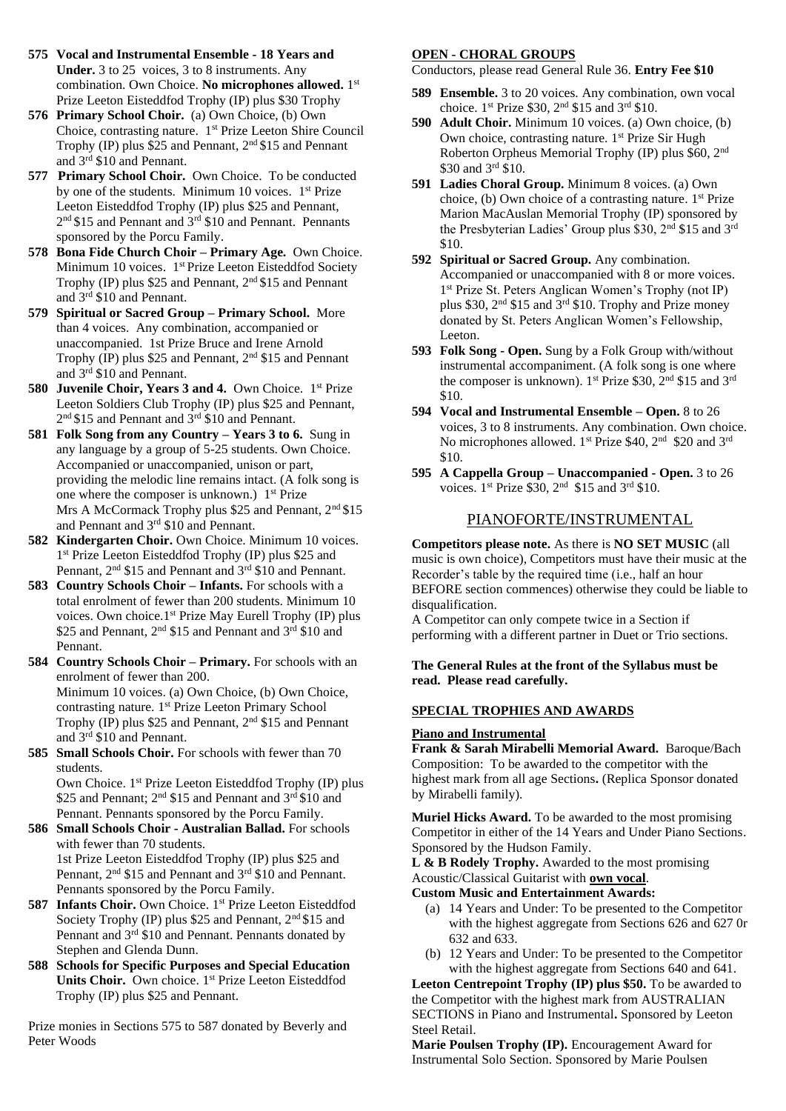- **575 Vocal and Instrumental Ensemble - 18 Years and Under.** 3 to 25 voices, 3 to 8 instruments. Any combination. Own Choice. No microphones allowed. 1st Prize Leeton Eisteddfod Trophy (IP) plus \$30 Trophy
- **576 Primary School Choir.** (a) Own Choice, (b) Own Choice, contrasting nature. 1st Prize Leeton Shire Council Trophy (IP) plus \$25 and Pennant, 2nd \$15 and Pennant and 3rd \$10 and Pennant.
- **577 Primary School Choir.** Own Choice. To be conducted by one of the students. Minimum 10 voices. 1<sup>st</sup> Prize Leeton Eisteddfod Trophy (IP) plus \$25 and Pennant, 2<sup>nd</sup> \$15 and Pennant and 3<sup>rd</sup> \$10 and Pennant. Pennants sponsored by the Porcu Family.
- **578 Bona Fide Church Choir – Primary Age.** Own Choice. Minimum 10 voices. 1<sup>st</sup> Prize Leeton Eisteddfod Society Trophy (IP) plus \$25 and Pennant, 2nd \$15 and Pennant and 3rd \$10 and Pennant.
- **579 Spiritual or Sacred Group – Primary School.** More than 4 voices. Any combination, accompanied or unaccompanied. 1st Prize Bruce and Irene Arnold Trophy (IP) plus \$25 and Pennant,  $2<sup>nd</sup>$  \$15 and Pennant and 3 rd \$10 and Pennant.
- 580 **Juvenile Choir, Years 3 and 4.** Own Choice. 1<sup>st</sup> Prize Leeton Soldiers Club Trophy (IP) plus \$25 and Pennant, 2<sup>nd</sup> \$15 and Pennant and 3<sup>rd</sup> \$10 and Pennant.
- **581 Folk Song from any Country – Years 3 to 6.** Sung in any language by a group of 5-25 students. Own Choice. Accompanied or unaccompanied, unison or part, providing the melodic line remains intact. (A folk song is one where the composer is unknown.) 1<sup>st</sup> Prize Mrs A McCormack Trophy plus \$25 and Pennant, 2<sup>nd</sup> \$15 and Pennant and 3rd \$10 and Pennant.
- **582 Kindergarten Choir.** Own Choice. Minimum 10 voices. 1 st Prize Leeton Eisteddfod Trophy (IP) plus \$25 and Pennant, 2<sup>nd</sup> \$15 and Pennant and 3<sup>rd</sup> \$10 and Pennant.
- **583 Country Schools Choir – Infants.** For schools with a total enrolment of fewer than 200 students. Minimum 10 voices. Own choice.1<sup>st</sup> Prize May Eurell Trophy (IP) plus \$25 and Pennant, 2<sup>nd</sup> \$15 and Pennant and 3<sup>rd</sup> \$10 and Pennant.
- **584 Country Schools Choir – Primary.** For schools with an enrolment of fewer than 200. Minimum 10 voices. (a) Own Choice, (b) Own Choice, contrasting nature. 1<sup>st</sup> Prize Leeton Primary School Trophy (IP) plus \$25 and Pennant, 2nd \$15 and Pennant and 3rd \$10 and Pennant.
- **585 Small Schools Choir.** For schools with fewer than 70 students.

Own Choice. 1 st Prize Leeton Eisteddfod Trophy (IP) plus \$25 and Pennant; 2<sup>nd</sup> \$15 and Pennant and 3<sup>rd</sup> \$10 and Pennant. Pennants sponsored by the Porcu Family.

- **586 Small Schools Choir - Australian Ballad.** For schools with fewer than 70 students. 1st Prize Leeton Eisteddfod Trophy (IP) plus \$25 and Pennant, 2<sup>nd</sup> \$15 and Pennant and 3<sup>rd</sup> \$10 and Pennant. Pennants sponsored by the Porcu Family.
- 587 Infants Choir. Own Choice. 1<sup>st</sup> Prize Leeton Eisteddfod Society Trophy (IP) plus \$25 and Pennant,  $2<sup>nd</sup>$  \$15 and Pennant and 3rd \$10 and Pennant. Pennants donated by Stephen and Glenda Dunn.
- **588 Schools for Specific Purposes and Special Education**  Units Choir. Own choice. 1<sup>st</sup> Prize Leeton Eisteddfod Trophy (IP) plus \$25 and Pennant.

Prize monies in Sections 575 to 587 donated by Beverly and Peter Woods

#### **OPEN - CHORAL GROUPS**

Conductors, please read General Rule 36. **Entry Fee \$10**

- **589 Ensemble.** 3 to 20 voices. Any combination, own vocal choice. 1st Prize \$30, 2nd \$15 and 3rd \$10.
- **590 Adult Choir.** Minimum 10 voices. (a) Own choice, (b) Own choice, contrasting nature. 1<sup>st</sup> Prize Sir Hugh Roberton Orpheus Memorial Trophy (IP) plus \$60, 2nd \$30 and 3<sup>rd</sup> \$10.
- **591 Ladies Choral Group.** Minimum 8 voices. (a) Own choice, (b) Own choice of a contrasting nature. 1st Prize Marion MacAuslan Memorial Trophy (IP) sponsored by the Presbyterian Ladies' Group plus \$30, 2<sup>nd</sup> \$15 and 3<sup>rd</sup> \$10.
- **592 Spiritual or Sacred Group.** Any combination. Accompanied or unaccompanied with 8 or more voices. 1 st Prize St. Peters Anglican Women's Trophy (not IP) plus \$30, 2nd \$15 and 3rd \$10. Trophy and Prize money donated by St. Peters Anglican Women's Fellowship, Leeton.
- **593 Folk Song - Open.** Sung by a Folk Group with/without instrumental accompaniment. (A folk song is one where the composer is unknown). 1<sup>st</sup> Prize \$30, 2<sup>nd</sup> \$15 and 3<sup>rd</sup> \$10.
- **594 Vocal and Instrumental Ensemble – Open.** 8 to 26 voices, 3 to 8 instruments. Any combination. Own choice. No microphones allowed. 1<sup>st</sup> Prize \$40, 2<sup>nd</sup> \$20 and 3<sup>rd</sup> \$10.
- **595 A Cappella Group – Unaccompanied - Open.** 3 to 26 voices. 1st Prize \$30, 2nd \$15 and 3rd \$10.

### PIANOFORTE/INSTRUMENTAL

**Competitors please note.** As there is **NO SET MUSIC** (all music is own choice), Competitors must have their music at the Recorder's table by the required time (i.e., half an hour BEFORE section commences) otherwise they could be liable to disqualification.

A Competitor can only compete twice in a Section if performing with a different partner in Duet or Trio sections.

#### **The General Rules at the front of the Syllabus must be read. Please read carefully.**

#### **SPECIAL TROPHIES AND AWARDS**

#### **Piano and Instrumental**

**Frank & Sarah Mirabelli Memorial Award.** Baroque/Bach Composition: To be awarded to the competitor with the highest mark from all age Sections**.** (Replica Sponsor donated by Mirabelli family).

**Muriel Hicks Award.** To be awarded to the most promising Competitor in either of the 14 Years and Under Piano Sections. Sponsored by the Hudson Family.

**L & B Rodely Trophy.** Awarded to the most promising Acoustic/Classical Guitarist with **own vocal**.

- **Custom Music and Entertainment Awards:**
	- (a) 14 Years and Under: To be presented to the Competitor with the highest aggregate from Sections 626 and 627 0r 632 and 633.
	- (b) 12 Years and Under: To be presented to the Competitor with the highest aggregate from Sections 640 and 641.

**Leeton Centrepoint Trophy (IP) plus \$50.** To be awarded to the Competitor with the highest mark from AUSTRALIAN SECTIONS in Piano and Instrumental**.** Sponsored by Leeton Steel Retail.

**Marie Poulsen Trophy (IP).** Encouragement Award for Instrumental Solo Section. Sponsored by Marie Poulsen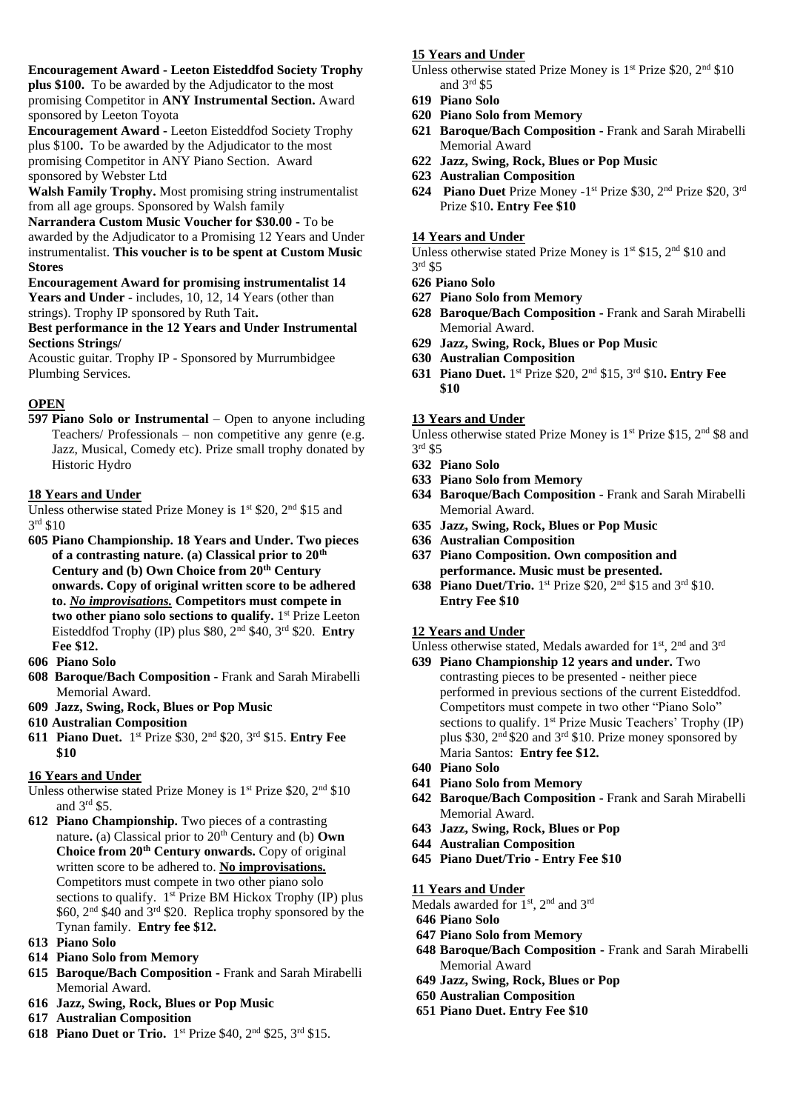#### **Encouragement Award - Leeton Eisteddfod Society Trophy**

**plus \$100.** To be awarded by the Adjudicator to the most promising Competitor in **ANY Instrumental Section.** Award sponsored by Leeton Toyota

**Encouragement Award -** Leeton Eisteddfod Society Trophy plus \$100**.** To be awarded by the Adjudicator to the most promising Competitor in ANY Piano Section. Award sponsored by Webster Ltd

**Walsh Family Trophy.** Most promising string instrumentalist from all age groups. Sponsored by Walsh family

**Narrandera Custom Music Voucher for \$30.00 -** To be awarded by the Adjudicator to a Promising 12 Years and Under instrumentalist. **This voucher is to be spent at Custom Music Stores** 

#### **Encouragement Award for promising instrumentalist 14**  Years and Under - includes, 10, 12, 14 Years (other than strings). Trophy IP sponsored by Ruth Tait**.**

#### **Best performance in the 12 Years and Under Instrumental Sections Strings/**

Acoustic guitar. Trophy IP - Sponsored by Murrumbidgee Plumbing Services.

### **OPEN**

**597 Piano Solo or Instrumental** – Open to anyone including Teachers/ Professionals – non competitive any genre (e.g. Jazz, Musical, Comedy etc). Prize small trophy donated by Historic Hydro

#### **18 Years and Under**

Unless otherwise stated Prize Money is  $1<sup>st</sup>$  \$20,  $2<sup>nd</sup>$  \$15 and 3 rd \$10

**605 Piano Championship. 18 Years and Under. Two pieces of a contrasting nature. (a) Classical prior to 20th Century and (b) Own Choice from 20th Century onwards. Copy of original written score to be adhered to.** *No improvisations.* **Competitors must compete in**  two other piano solo sections to qualify. 1<sup>st</sup> Prize Leeton Eisteddfod Trophy (IP) plus \$80, 2nd \$40, 3rd \$20. **Entry Fee \$12.**

**606 Piano Solo**

- **608 Baroque/Bach Composition -** Frank and Sarah Mirabelli Memorial Award.
- **609 Jazz, Swing, Rock, Blues or Pop Music**
- **610 Australian Composition**
- **611 Piano Duet.** 1 st Prize \$30, 2nd \$20, 3rd \$15. **Entry Fee \$10**

#### **16 Years and Under**

- Unless otherwise stated Prize Money is 1<sup>st</sup> Prize \$20, 2<sup>nd</sup> \$10 and 3 rd \$5.
- **612 Piano Championship.** Two pieces of a contrasting nature. (a) Classical prior to  $20<sup>th</sup>$  Century and (b) Own **Choice from 20th Century onwards.** Copy of original written score to be adhered to. **No improvisations.** Competitors must compete in two other piano solo sections to qualify. 1<sup>st</sup> Prize BM Hickox Trophy (IP) plus \$60, 2<sup>nd</sup> \$40 and 3<sup>rd</sup> \$20. Replica trophy sponsored by the Tynan family. **Entry fee \$12.**
- **613 Piano Solo**
- **614 Piano Solo from Memory**
- **615 Baroque/Bach Composition -** Frank and Sarah Mirabelli Memorial Award.
- **616 Jazz, Swing, Rock, Blues or Pop Music**
- **617 Australian Composition**
- **618 Piano Duet or Trio.** 1 st Prize \$40, 2nd \$25, 3rd \$15.

#### **15 Years and Under**

- Unless otherwise stated Prize Money is 1<sup>st</sup> Prize \$20, 2<sup>nd</sup> \$10 and 3 rd \$5
- **619 Piano Solo**
- **620 Piano Solo from Memory**
- **621 Baroque/Bach Composition -** Frank and Sarah Mirabelli Memorial Award
- **622 Jazz, Swing, Rock, Blues or Pop Music**
- **623 Australian Composition**
- 624 Piano Duet Prize Money -1<sup>st</sup> Prize \$30, 2<sup>nd</sup> Prize \$20, 3<sup>rd</sup> Prize \$10**. Entry Fee \$10**

#### **14 Years and Under**

Unless otherwise stated Prize Money is 1<sup>st</sup> \$15, 2<sup>nd</sup> \$10 and 3 rd \$5

- **626 Piano Solo**
- **627 Piano Solo from Memory**
- **628 Baroque/Bach Composition -** Frank and Sarah Mirabelli Memorial Award.
- **629 Jazz, Swing, Rock, Blues or Pop Music**
- **630 Australian Composition**
- **631 Piano Duet.** 1 st Prize \$20, 2 nd \$15, 3 rd \$10**. Entry Fee \$10**

#### **13 Years and Under**

Unless otherwise stated Prize Money is  $1<sup>st</sup>$  Prize \$15,  $2<sup>nd</sup>$  \$8 and 3 rd \$5

- **632 Piano Solo**
- **633 Piano Solo from Memory**
- **634 Baroque/Bach Composition -** Frank and Sarah Mirabelli Memorial Award.
- **635 Jazz, Swing, Rock, Blues or Pop Music**
- **636 Australian Composition**
- **637 Piano Composition. Own composition and performance. Music must be presented.**
- **638 Piano Duet/Trio.** 1<sup>st</sup> Prize \$20, 2<sup>nd</sup> \$15 and 3<sup>rd</sup> \$10. **Entry Fee \$10**

#### **12 Years and Under**

Unless otherwise stated, Medals awarded for 1<sup>st</sup>, 2<sup>nd</sup> and 3<sup>rd</sup>

- **639 Piano Championship 12 years and under.** Two contrasting pieces to be presented - neither piece performed in previous sections of the current Eisteddfod. Competitors must compete in two other "Piano Solo" sections to qualify.  $1<sup>st</sup>$  Prize Music Teachers' Trophy (IP) plus \$30, 2nd \$20 and 3rd \$10. Prize money sponsored by Maria Santos: **Entry fee \$12.**
- **640 Piano Solo**
- **641 Piano Solo from Memory**
- **642 Baroque/Bach Composition -** Frank and Sarah Mirabelli Memorial Award.
- **643 Jazz, Swing, Rock, Blues or Pop**
- **644 Australian Composition**
- **645 Piano Duet/Trio - Entry Fee \$10**

**11 Years and Under**

- Medals awarded for  $1<sup>st</sup>$ ,  $2<sup>nd</sup>$  and  $3<sup>rd</sup>$
- **646 Piano Solo**
- **647 Piano Solo from Memory**
- **648 Baroque/Bach Composition -** Frank and Sarah Mirabelli Memorial Award
- **649 Jazz, Swing, Rock, Blues or Pop**
- **650 Australian Composition**
- **651 Piano Duet. Entry Fee \$10**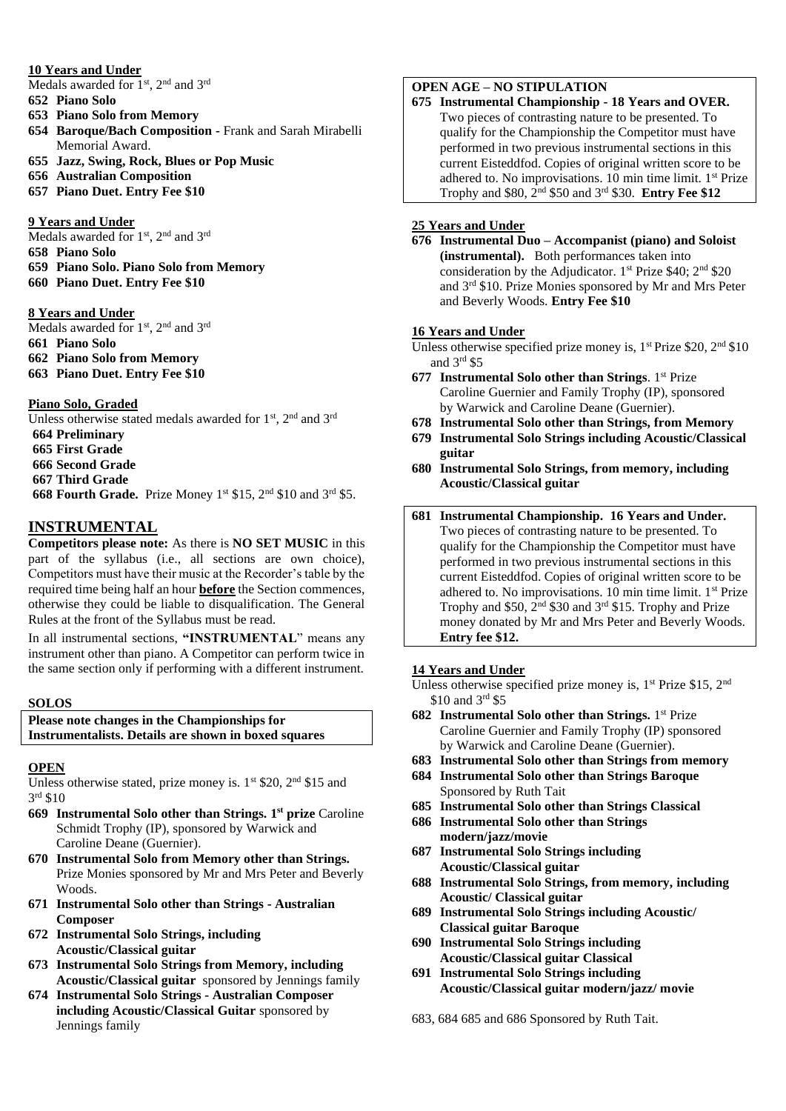#### **10 Years and Under**

Medals awarded for 1<sup>st</sup>, 2<sup>nd</sup> and 3<sup>rd</sup>

- **652 Piano Solo**
- **653 Piano Solo from Memory**
- **654 Baroque/Bach Composition -** Frank and Sarah Mirabelli Memorial Award.
- **655 Jazz, Swing, Rock, Blues or Pop Music**
- **656 Australian Composition**
- **657 Piano Duet. Entry Fee \$10**

#### **9 Years and Under**

Medals awarded for 1<sup>st</sup>, 2<sup>nd</sup> and 3<sup>rd</sup>

- **658 Piano Solo**
- **659 Piano Solo. Piano Solo from Memory 660 Piano Duet. Entry Fee \$10**

#### **8 Years and Under**

Medals awarded for 1<sup>st</sup>, 2<sup>nd</sup> and 3<sup>rd</sup> **Piano Solo Piano Solo from Memory Piano Duet. Entry Fee \$10**

#### **Piano Solo, Graded**

Unless otherwise stated medals awarded for 1<sup>st</sup>, 2<sup>nd</sup> and 3<sup>rd</sup> **Preliminary First Grade Second Grade Third Grade 668 Fourth Grade.** Prize Money 1<sup>st</sup> \$15, 2<sup>nd</sup> \$10 and 3<sup>rd</sup> \$5.

### **INSTRUMENTAL**

**Competitors please note:** As there is **NO SET MUSIC** in this part of the syllabus (i.e., all sections are own choice), Competitors must have their music at the Recorder's table by the required time being half an hour **before** the Section commences, otherwise they could be liable to disqualification. The General Rules at the front of the Syllabus must be read.

In all instrumental sections, **"INSTRUMENTAL**" means any instrument other than piano. A Competitor can perform twice in the same section only if performing with a different instrument.

#### **SOLOS**

#### **Please note changes in the Championships for Instrumentalists. Details are shown in boxed squares**

### **OPEN**

Unless otherwise stated, prize money is.  $1<sup>st</sup>$  \$20,  $2<sup>nd</sup>$  \$15 and 3 rd \$10

- **669 Instrumental Solo other than Strings. 1 st prize** Caroline Schmidt Trophy (IP), sponsored by Warwick and Caroline Deane (Guernier).
- **670 Instrumental Solo from Memory other than Strings.** Prize Monies sponsored by Mr and Mrs Peter and Beverly Woods.
- **671 Instrumental Solo other than Strings - Australian Composer**
- **672 Instrumental Solo Strings, including Acoustic/Classical guitar**
- **673 Instrumental Solo Strings from Memory, including Acoustic/Classical guitar** sponsored by Jennings family
- **674 Instrumental Solo Strings - Australian Composer including Acoustic/Classical Guitar** sponsored by Jennings family

# **OPEN AGE – NO STIPULATION**

**675 Instrumental Championship - 18 Years and OVER.** Two pieces of contrasting nature to be presented. To qualify for the Championship the Competitor must have performed in two previous instrumental sections in this current Eisteddfod. Copies of original written score to be adhered to. No improvisations.  $10$  min time limit.  $1<sup>st</sup>$  Prize Trophy and \$80, 2nd \$50 and 3rd \$30. **Entry Fee \$12**

### **25 Years and Under**

**676 Instrumental Duo – Accompanist (piano) and Soloist (instrumental).** Both performances taken into consideration by the Adjudicator.  $1^{st}$  Prize \$40;  $2^{nd}$  \$20 and 3rd \$10. Prize Monies sponsored by Mr and Mrs Peter and Beverly Woods. **Entry Fee \$10**

#### **16 Years and Under**

Unless otherwise specified prize money is,  $1<sup>st</sup> Prize $20, 2<sup>nd</sup> $10$ and 3rd \$5

- **677 Instrumental Solo other than Strings**. 1st Prize Caroline Guernier and Family Trophy (IP), sponsored by Warwick and Caroline Deane (Guernier).
- **678 Instrumental Solo other than Strings, from Memory**
- **679 Instrumental Solo Strings including Acoustic/Classical guitar**
- **680 Instrumental Solo Strings, from memory, including Acoustic/Classical guitar**
- **681 Instrumental Championship. 16 Years and Under.** Two pieces of contrasting nature to be presented. To qualify for the Championship the Competitor must have performed in two previous instrumental sections in this current Eisteddfod. Copies of original written score to be adhered to. No improvisations. 10 min time limit. 1st Prize Trophy and \$50,  $2^{nd}$  \$30 and  $3^{rd}$  \$15. Trophy and Prize money donated by Mr and Mrs Peter and Beverly Woods. **Entry fee \$12.**

### **14 Years and Under**

Unless otherwise specified prize money is, 1<sup>st</sup> Prize \$15, 2<sup>nd</sup> \$10 and 3rd \$5

- **682 Instrumental Solo other than Strings.** 1 st Prize Caroline Guernier and Family Trophy (IP) sponsored by Warwick and Caroline Deane (Guernier).
- **683 Instrumental Solo other than Strings from memory**
- **684 Instrumental Solo other than Strings Baroque**  Sponsored by Ruth Tait
- **685 Instrumental Solo other than Strings Classical**
- **686 Instrumental Solo other than Strings modern/jazz/movie**
- **687 Instrumental Solo Strings including Acoustic/Classical guitar**
- **688 Instrumental Solo Strings, from memory, including Acoustic/ Classical guitar**
- **689 Instrumental Solo Strings including Acoustic/ Classical guitar Baroque**
- **690 Instrumental Solo Strings including Acoustic/Classical guitar Classical**
- **691 Instrumental Solo Strings including Acoustic/Classical guitar modern/jazz/ movie**

683, 684 685 and 686 Sponsored by Ruth Tait.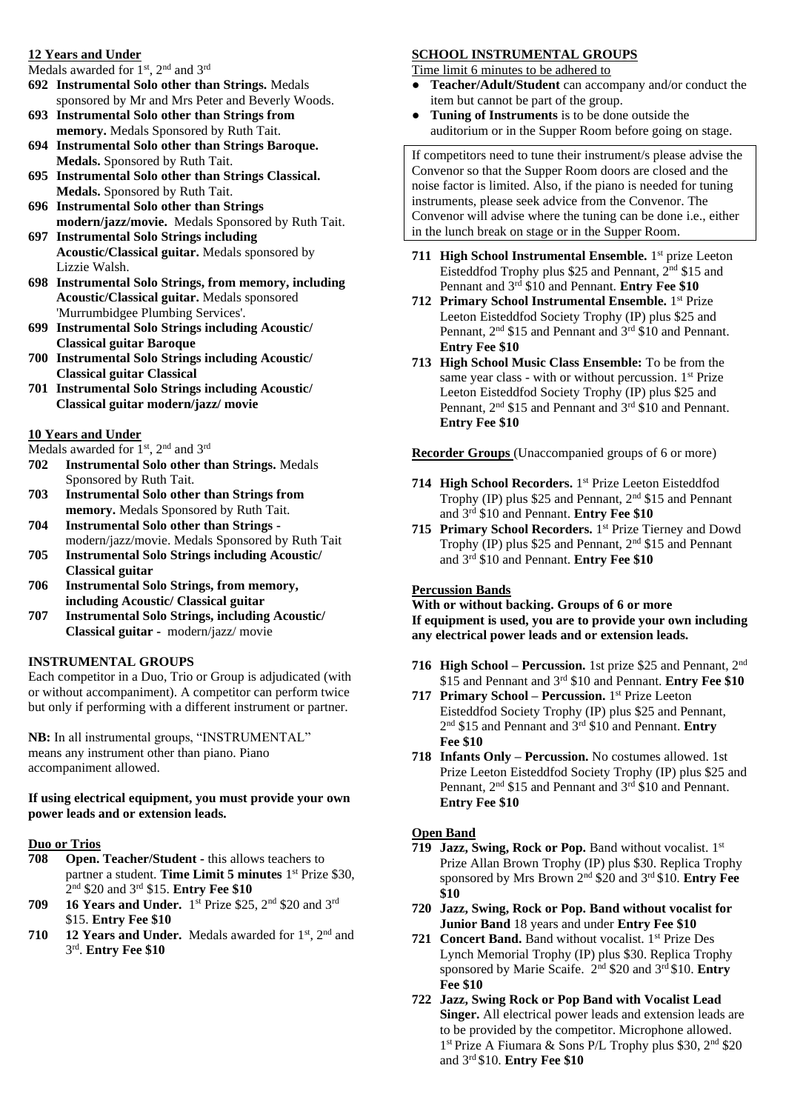#### **12 Years and Under**

Medals awarded for 1<sup>st</sup>, 2<sup>nd</sup> and 3<sup>rd</sup>

- **692 Instrumental Solo other than Strings.** Medals sponsored by Mr and Mrs Peter and Beverly Woods.
- **693 Instrumental Solo other than Strings from memory.** Medals Sponsored by Ruth Tait.
- **694 Instrumental Solo other than Strings Baroque. Medals.** Sponsored by Ruth Tait.
- **695 Instrumental Solo other than Strings Classical. Medals.** Sponsored by Ruth Tait.
- **696 Instrumental Solo other than Strings modern/jazz/movie.** Medals Sponsored by Ruth Tait.
- **697 Instrumental Solo Strings including Acoustic/Classical guitar.** Medals sponsored by Lizzie Walsh.
- **698 Instrumental Solo Strings, from memory, including Acoustic/Classical guitar.** Medals sponsored 'Murrumbidgee Plumbing Services'.
- **699 Instrumental Solo Strings including Acoustic/ Classical guitar Baroque**
- **700 Instrumental Solo Strings including Acoustic/ Classical guitar Classical**
- **701 Instrumental Solo Strings including Acoustic/ Classical guitar modern/jazz/ movie**

### **10 Years and Under**

Medals awarded for 1<sup>st</sup>, 2<sup>nd</sup> and 3<sup>rd</sup>

- **702 Instrumental Solo other than Strings.** Medals Sponsored by Ruth Tait.
- **703 Instrumental Solo other than Strings from memory.** Medals Sponsored by Ruth Tait.
- **704 Instrumental Solo other than Strings**  modern/jazz/movie. Medals Sponsored by Ruth Tait
- **705 Instrumental Solo Strings including Acoustic/ Classical guitar**
- **706 Instrumental Solo Strings, from memory, including Acoustic/ Classical guitar**
- **707 Instrumental Solo Strings, including Acoustic/ Classical guitar -** modern/jazz/ movie

### **INSTRUMENTAL GROUPS**

Each competitor in a Duo, Trio or Group is adjudicated (with or without accompaniment). A competitor can perform twice but only if performing with a different instrument or partner.

**NB:** In all instrumental groups, "INSTRUMENTAL" means any instrument other than piano. Piano accompaniment allowed.

#### **If using electrical equipment, you must provide your own power leads and or extension leads.**

### **Duo or Trios**

- **708 Open. Teacher/Student -** this allows teachers to partner a student. Time Limit 5 minutes 1<sup>st</sup> Prize \$30, 2 nd \$20 and 3rd \$15. **Entry Fee \$10**
- **709 16 Years and Under.** 1 st Prize \$25, 2nd \$20 and 3rd \$15. **Entry Fee \$10**
- **710 12 Years and Under.** Medals awarded for 1st, 2nd and 3 rd . **Entry Fee \$10**

# **SCHOOL INSTRUMENTAL GROUPS**

Time limit 6 minutes to be adhered to

- **Teacher/Adult/Student** can accompany and/or conduct the item but cannot be part of the group.
- Tuning of Instruments is to be done outside the auditorium or in the Supper Room before going on stage.

If competitors need to tune their instrument/s please advise the Convenor so that the Supper Room doors are closed and the noise factor is limited. Also, if the piano is needed for tuning instruments, please seek advice from the Convenor. The Convenor will advise where the tuning can be done i.e., either in the lunch break on stage or in the Supper Room.

- 711 High School Instrumental Ensemble. 1<sup>st</sup> prize Leeton Eisteddfod Trophy plus \$25 and Pennant, 2nd \$15 and Pennant and 3rd \$10 and Pennant. **Entry Fee \$10**
- **712 Primary School Instrumental Ensemble.** 1 st Prize Leeton Eisteddfod Society Trophy (IP) plus \$25 and Pennant, 2<sup>nd</sup> \$15 and Pennant and 3<sup>rd</sup> \$10 and Pennant. **Entry Fee \$10**
- **713 High School Music Class Ensemble:** To be from the same year class - with or without percussion.  $1<sup>st</sup>$  Prize Leeton Eisteddfod Society Trophy (IP) plus \$25 and Pennant, 2<sup>nd</sup> \$15 and Pennant and 3<sup>rd</sup> \$10 and Pennant. **Entry Fee \$10**

**Recorder Groups** (Unaccompanied groups of 6 or more)

- 714 High School Recorders. 1<sup>st</sup> Prize Leeton Eisteddfod Trophy (IP) plus \$25 and Pennant, 2nd \$15 and Pennant and 3rd \$10 and Pennant. **Entry Fee \$10**
- 715 Primary School Recorders. 1<sup>st</sup> Prize Tierney and Dowd Trophy (IP) plus \$25 and Pennant, 2nd \$15 and Pennant and 3rd \$10 and Pennant. **Entry Fee \$10**

#### **Percussion Bands**

**With or without backing. Groups of 6 or more If equipment is used, you are to provide your own including any electrical power leads and or extension leads.**

- **716 High School – Percussion.** 1st prize \$25 and Pennant, 2nd \$15 and Pennant and 3rd \$10 and Pennant. **Entry Fee \$10**
- **717 Primary School – Percussion.** 1 st Prize Leeton Eisteddfod Society Trophy (IP) plus \$25 and Pennant, 2 nd \$15 and Pennant and 3rd \$10 and Pennant. **Entry Fee \$10**
- **718 Infants Only – Percussion.** No costumes allowed. 1st Prize Leeton Eisteddfod Society Trophy (IP) plus \$25 and Pennant, 2<sup>nd</sup> \$15 and Pennant and 3<sup>rd</sup> \$10 and Pennant. **Entry Fee \$10**

#### **Open Band**

- **719 Jazz, Swing, Rock or Pop.** Band without vocalist. 1st Prize Allan Brown Trophy (IP) plus \$30. Replica Trophy sponsored by Mrs Brown 2nd \$20 and 3rd \$10. **Entry Fee \$10**
- **720 Jazz, Swing, Rock or Pop. Band without vocalist for Junior Band** 18 years and under **Entry Fee \$10**
- 721 **Concert Band.** Band without vocalist. 1<sup>st</sup> Prize Des Lynch Memorial Trophy (IP) plus \$30. Replica Trophy sponsored by Marie Scaife. 2nd \$20 and 3rd \$10. **Entry Fee \$10**
- **722 Jazz, Swing Rock or Pop Band with Vocalist Lead Singer.** All electrical power leads and extension leads are to be provided by the competitor. Microphone allowed. 1 st Prize A Fiumara & Sons P/L Trophy plus \$30, 2nd \$20 and 3rd \$10. **Entry Fee \$10**